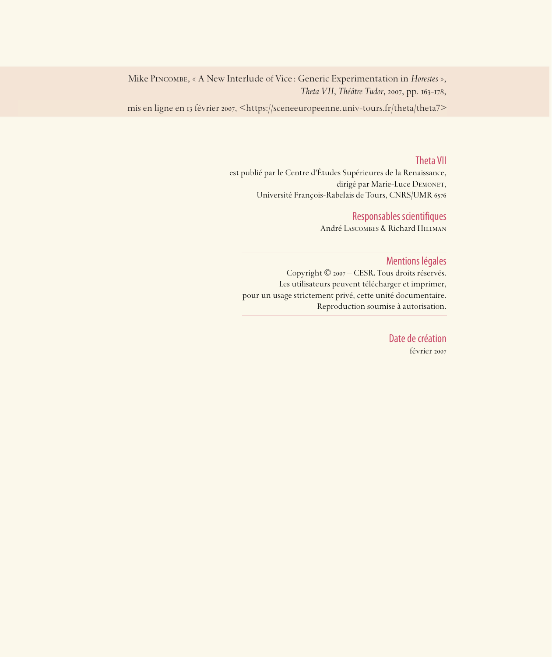Mike Pincombe, « A New Interlude of Vice : Generic Experimentation in *Horestes* », *Theta VII*, *Théâtre Tudor*, 2007, pp. 163-178,

mis en ligne en 13 février 2007, <https://sceneeuropeenne.univ-tours.fr/theta/theta7>

#### Theta VII

est publié par le Centre d'Études Supérieures de la Renaissance, dirigé par Marie-Luce DEMONET, Université François-Rabelais de Tours, CNRS/UMR

#### Responsables scientifiques

André Lascombes & Richard Hillman

#### Mentions légales

Copyright © 2007 – CESR. Tous droits réservés. Les utilisateurs peuvent télécharger et imprimer, pour un usage strictement privé, cette unité documentaire. Reproduction soumise à autorisation.

> Date de création février 2007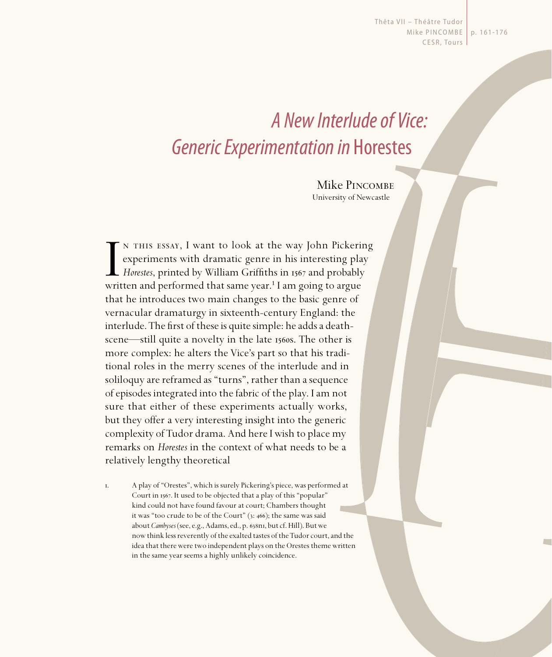Thêta VII - Théâtre Tudor Mike PIN COMBE | p. 161-176 CESR, Tours

# A New Interlude of Vice: Generic Experimentation in Horestes

Mike PINCOMBE University of Newcastle

IN THIS ESSAY, I want to look at the way John Pickeri:<br>experiments with dramatic genre in his interesting pla<br>*Horestes*, printed by William Griffiths in 1567 and probably<br>written and performed that same year.<sup>1</sup> I am goin n this essay, I want to look at the way John Pickering experiments with dramatic genre in his interesting play  $\mathsf{\mathsf{L}}$  *Horestes*, printed by William Griffiths in 1567 and probably that he introduces two main changes to the basic genre of vernacular dramaturgy in sixteenth-century England: the interlude. The first of these is quite simple: he adds a deathscene—still quite a novelty in the late 1560s. The other is more complex: he alters the Vice's part so that his traditional roles in the merry scenes of the interlude and in soliloquy are reframed as "turns", rather than a sequence of episodes integrated into the fabric of the play. I am not sure that either of these experiments actually works, but they offer a very interesting insight into the generic complexity of Tudor drama. And here I wish to place my remarks on *Horestes* in the context of what needs to be a relatively lengthy theoretical

. A play of "Orestes", which is surely Pickering's piece, was performed at Court in 1567. It used to be objected that a play of this "popular" kind could not have found favour at court; Chambers thought it was "too crude to be of the Court"  $(3: 466)$ ; the same was said about *Cambyses* (see, e.g., Adams, ed., p. 638n1, but cf. Hill). But we now think less reverently of the exalted tastes of the Tudor court, and the idea that there were two independent plays on the Orestes theme written in the same year seems a highly unlikely coincidence.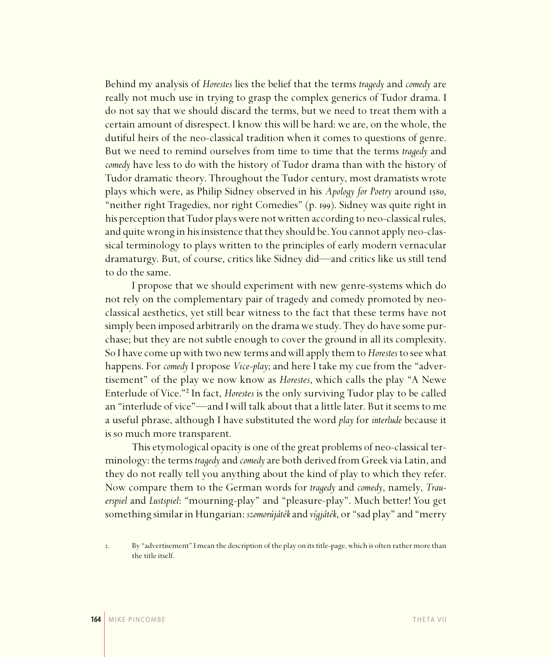Behind my analysis of *Horestes* lies the belief that the terms *tragedy* and *comedy* are really not much use in trying to grasp the complex generics of Tudor drama. I do not say that we should discard the terms, but we need to treat them with a certain amount of disrespect. I know this will be hard: we are, on the whole, the dutiful heirs of the neo-classical tradition when it comes to questions of genre. But we need to remind ourselves from time to time that the terms *tragedy* and *comedy* have less to do with the history of Tudor drama than with the history of Tudor dramatic theory. Throughout the Tudor century, most dramatists wrote plays which were, as Philip Sidney observed in his *Apology for Poetry* around 1580, "neither right Tragedies, nor right Comedies" (p. 199). Sidney was quite right in his perception that Tudor plays were not written according to neo-classical rules, and quite wrong in his insistence that they should be. You cannot apply neo-classical terminology to plays written to the principles of early modern vernacular dramaturgy. But, of course, critics like Sidney did—and critics like us still tend to do the same.

I propose that we should experiment with new genre-systems which do not rely on the complementary pair of tragedy and comedy promoted by neoclassical aesthetics, yet still bear witness to the fact that these terms have not simply been imposed arbitrarily on the drama we study. They do have some purchase; but they are not subtle enough to cover the ground in all its complexity. So I have come up with two new terms and will apply them to *Horestes* to see what happens. For *comedy* I propose *Vice-play*; and here I take my cue from the "advertisement" of the play we now know as *Horestes*, which calls the play "A Newe Enterlude of Vice."² In fact, *Horestes* is the only surviving Tudor play to be called an "interlude of vice"—and I will talk about that a little later. But it seems to me a useful phrase, although I have substituted the word *play* for *interlude* because it is so much more transparent.

This etymological opacity is one of the great problems of neo-classical terminology: the terms *tragedy* and *comedy* are both derived from Greek via Latin, and they do not really tell you anything about the kind of play to which they refer. Now compare them to the German words for *tragedy* and *comedy*, namely, *Trauerspiel* and *Lustspiel*: "mourning-play" and "pleasure-play". Much better! You get something similar in Hungarian: *szomorújáték* and *vígjáték*, or "sad play" and "merry

<sup>.</sup> By "advertisement" I mean the description of the play on its title-page, which is often rather more than the title itself.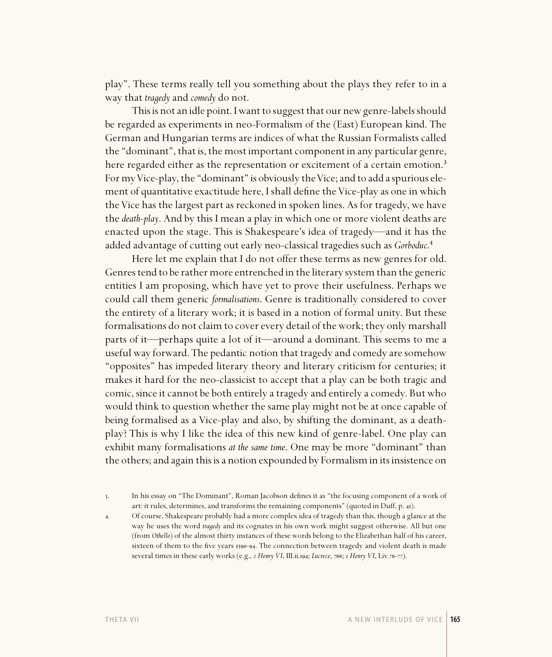play". These terms really tell you something about the plays they refer to in a way that *tragedy* and *comedy* do not.

This is not an idle point. I want to suggest that our new genre-labels should be regarded as experiments in neo-Formalism of the (East) European kind. The German and Hungarian terms are indices of what the Russian Formalists called the "dominant", that is, the most important component in any particular genre, here regarded either as the representation or excitement of a certain emotion.<sup>3</sup> For my Vice-play, the "dominant" is obviously the Vice; and to add a spurious element of quantitative exactitude here, I shall define the Vice-play as one in which the Vice has the largest part as reckoned in spoken lines. As for tragedy, we have the *death-play*. And by this I mean a play in which one or more violent deaths are enacted upon the stage. This is Shakespeare's idea of tragedy—and it has the added advantage of cutting out early neo-classical tragedies such as *Gorboduc*.<sup>4</sup>

Here let me explain that I do not offer these terms as new genres for old. Genres tend to be rather more entrenched in the literary system than the generic entities I am proposing, which have yet to prove their usefulness. Perhaps we could call them generic *formalisations*. Genre is traditionally considered to cover the entirety of a literary work; it is based in a notion of formal unity. But these formalisations do not claim to cover every detail of the work; they only marshall parts of it—perhaps quite a lot of it—around a dominant. This seems to me a useful way forward. The pedantic notion that tragedy and comedy are somehow "opposites" has impeded literary theory and literary criticism for centuries; it makes it hard for the neo-classicist to accept that a play can be both tragic and comic, since it cannot be both entirely a tragedy and entirely a comedy. But who would think to question whether the same play might not be at once capable of being formalised as a Vice-play and also, by shifting the dominant, as a deathplay? This is why I like the idea of this new kind of genre-label. One play can exhibit many formalisations *at the same time*. One may be more "dominant" than the others; and again this is a notion expounded by Formalism in its insistence on

. Of course, Shakespeare probably had a more complex idea of tragedy than this, though a glance at the way he uses the word *tragedy* and its cognates in his own work might suggest otherwise. All but one (from *Othello*) of the almost thirty instances of these words belong to the Elizabethan half of his career, sixteen of them to the five years 1590-94. The connection between tragedy and violent death is made several times in these early works (e.g.,  $\alpha$  *Henry VI*, III.ii.194; *Lucrece*, 766;  $\alpha$  *Henry VI*, *Liv.76-77*).

<sup>3.</sup> In his essay on "The Dominant", Roman Jacobson defines it as "the focusing component of a work of art: it rules, determines, and transforms the remaining components" (quoted in Duff, p. 41).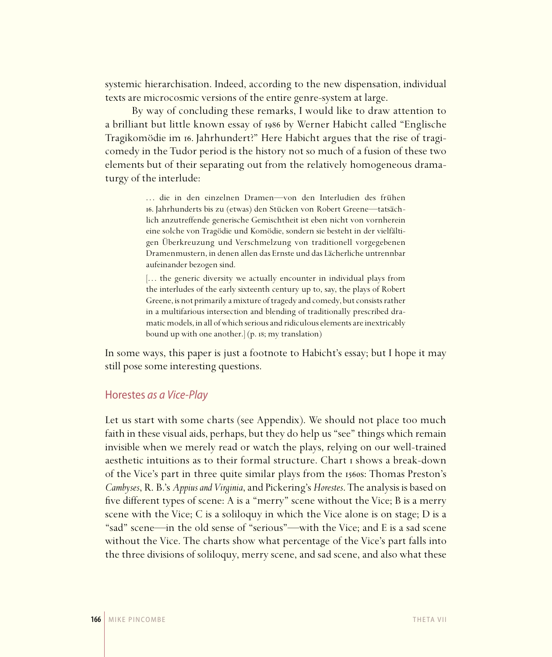systemic hierarchisation. Indeed, according to the new dispensation, individual texts are microcosmic versions of the entire genre-system at large.

By way of concluding these remarks, I would like to draw attention to a brilliant but little known essay of by Werner Habicht called "Englische Tragikomödie im 16. Jahrhundert?" Here Habicht argues that the rise of tragicomedy in the Tudor period is the history not so much of a fusion of these two elements but of their separating out from the relatively homogeneous dramaturgy of the interlude:

> ... die in den einzelnen Dramen-von den Interludien des frühen . Jahrhunderts bis zu (etwas) den Stücken von Robert Greene—tatsächlich anzutreffende generische Gemischtheit ist eben nicht von vornherein eine solche von Tragödie und Komödie, sondern sie besteht in der vielfältigen Überkreuzung und Verschmelzung von traditionell vorgegebenen Dramenmustern, in denen allen das Ernste und das Lächerliche untrennbar aufeinander bezogen sind.

> [... the generic diversity we actually encounter in individual plays from the interludes of the early sixteenth century up to, say, the plays of Robert Greene, is not primarily a mixture of tragedy and comedy, but consists rather in a multifarious intersection and blending of traditionally prescribed dramatic models, in all of which serious and ridiculous elements are inextricably bound up with one another.] (p. 18; my translation)

In some ways, this paper is just a footnote to Habicht's essay; but I hope it may still pose some interesting questions.

#### Horestes as a Vice-Play

Let us start with some charts (see Appendix). We should not place too much faith in these visual aids, perhaps, but they do help us "see" things which remain invisible when we merely read or watch the plays, relying on our well-trained aesthetic intuitions as to their formal structure. Chart *I* shows a break-down of the Vice's part in three quite similar plays from the 1560s: Thomas Preston's *Cambyses*, R. B.'s *Appius and Virginia*, and Pickering's *Horestes*. The analysis is based on five different types of scene: A is a "merry" scene without the Vice; B is a merry scene with the Vice; C is a soliloquy in which the Vice alone is on stage; D is a "sad" scene—in the old sense of "serious"—with the Vice; and E is a sad scene without the Vice. The charts show what percentage of the Vice's part falls into the three divisions of soliloquy, merry scene, and sad scene, and also what these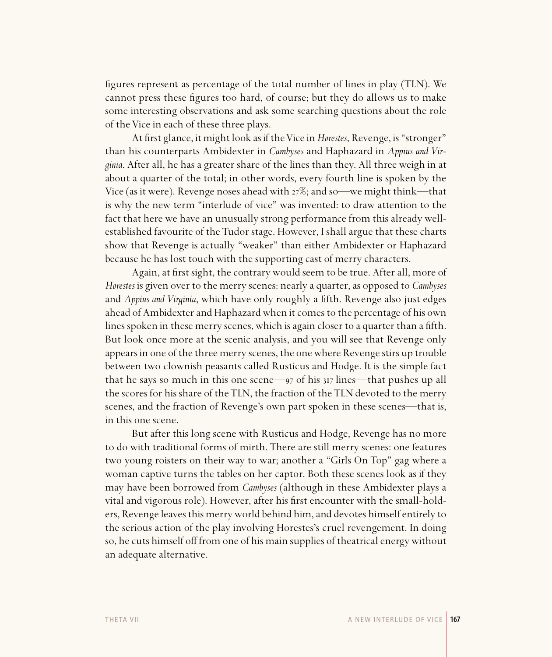figures represent as percentage of the total number of lines in play (TLN). We cannot press these figures too hard, of course; but they do allows us to make some interesting observations and ask some searching questions about the role of the Vice in each of these three plays.

At fi rst glance, it might look as if the Vice in *Horestes*, Revenge, is "stronger" than his counterparts Ambidexter in *Cambyses* and Haphazard in *Appius and Virginia*. After all, he has a greater share of the lines than they. All three weigh in at about a quarter of the total; in other words, every fourth line is spoken by the Vice (as it were). Revenge noses ahead with  $27\%$ ; and so—we might think—that is why the new term "interlude of vice" was invented: to draw attention to the fact that here we have an unusually strong performance from this already wellestablished favourite of the Tudor stage. However, I shall argue that these charts show that Revenge is actually "weaker" than either Ambidexter or Haphazard because he has lost touch with the supporting cast of merry characters.

Again, at first sight, the contrary would seem to be true. After all, more of *Horestes* is given over to the merry scenes: nearly a quarter, as opposed to *Cambyses* and *Appius and Virginia*, which have only roughly a fifth. Revenge also just edges ahead of Ambidexter and Haphazard when it comes to the percentage of his own lines spoken in these merry scenes, which is again closer to a quarter than a fifth. But look once more at the scenic analysis, and you will see that Revenge only appears in one of the three merry scenes, the one where Revenge stirs up trouble between two clownish peasants called Rusticus and Hodge. It is the simple fact that he says so much in this one scene— $\frac{97}{97}$  of his  $\frac{317}{1}$  lines—that pushes up all the scores for his share of the TLN, the fraction of the TLN devoted to the merry scenes, and the fraction of Revenge's own part spoken in these scenes—that is, in this one scene.

But after this long scene with Rusticus and Hodge, Revenge has no more to do with traditional forms of mirth. There are still merry scenes: one features two young roisters on their way to war; another a "Girls On Top" gag where a woman captive turns the tables on her captor. Both these scenes look as if they may have been borrowed from *Cambyses* (although in these Ambidexter plays a vital and vigorous role). However, after his first encounter with the small-holders, Revenge leaves this merry world behind him, and devotes himself entirely to the serious action of the play involving Horestes's cruel revengement. In doing so, he cuts himself off from one of his main supplies of theatrical energy without an adequate alternative.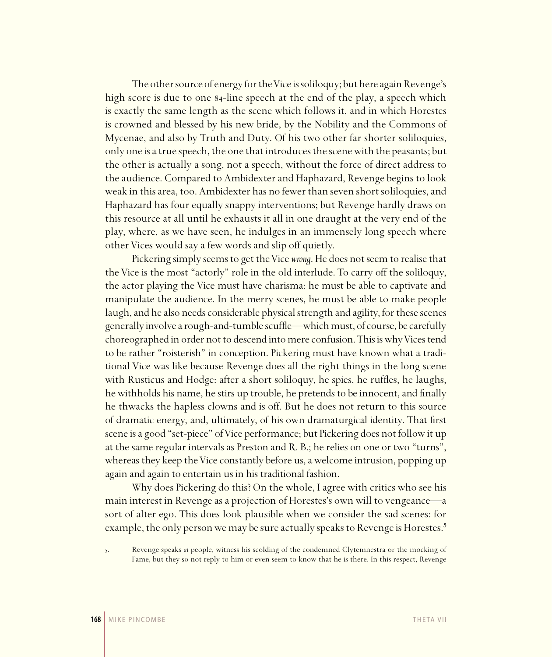The other source of energy for the Vice is soliloquy; but here again Revenge's high score is due to one 84-line speech at the end of the play, a speech which is exactly the same length as the scene which follows it, and in which Horestes is crowned and blessed by his new bride, by the Nobility and the Commons of Mycenae, and also by Truth and Duty. Of his two other far shorter soliloquies, only one is a true speech, the one that introduces the scene with the peasants; but the other is actually a song, not a speech, without the force of direct address to the audience. Compared to Ambidexter and Haphazard, Revenge begins to look weak in this area, too. Ambidexter has no fewer than seven short soliloquies, and Haphazard has four equally snappy interventions; but Revenge hardly draws on this resource at all until he exhausts it all in one draught at the very end of the play, where, as we have seen, he indulges in an immensely long speech where other Vices would say a few words and slip off quietly.

Pickering simply seems to get the Vice *wrong*. He does not seem to realise that the Vice is the most "actorly" role in the old interlude. To carry off the soliloquy, the actor playing the Vice must have charisma: he must be able to captivate and manipulate the audience. In the merry scenes, he must be able to make people laugh, and he also needs considerable physical strength and agility, for these scenes generally involve a rough-and-tumble scuffle—which must, of course, be carefully choreographed in order not to descend into mere confusion. This is why Vices tend to be rather "roisterish" in conception. Pickering must have known what a traditional Vice was like because Revenge does all the right things in the long scene with Rusticus and Hodge: after a short soliloquy, he spies, he ruffles, he laughs, he withholds his name, he stirs up trouble, he pretends to be innocent, and finally he thwacks the hapless clowns and is off. But he does not return to this source of dramatic energy, and, ultimately, of his own dramaturgical identity. That first scene is a good "set-piece" of Vice performance; but Pickering does not follow it up at the same regular intervals as Preston and R. B.; he relies on one or two "turns", whereas they keep the Vice constantly before us, a welcome intrusion, popping up again and again to entertain us in his traditional fashion.

Why does Pickering do this? On the whole, I agree with critics who see his main interest in Revenge as a projection of Horestes's own will to vengeance—a sort of alter ego. This does look plausible when we consider the sad scenes: for example, the only person we may be sure actually speaks to Revenge is Horestes.<sup>5</sup>

<sup>.</sup> Revenge speaks *at* people, witness his scolding of the condemned Clytemnestra or the mocking of Fame, but they so not reply to him or even seem to know that he is there. In this respect, Revenge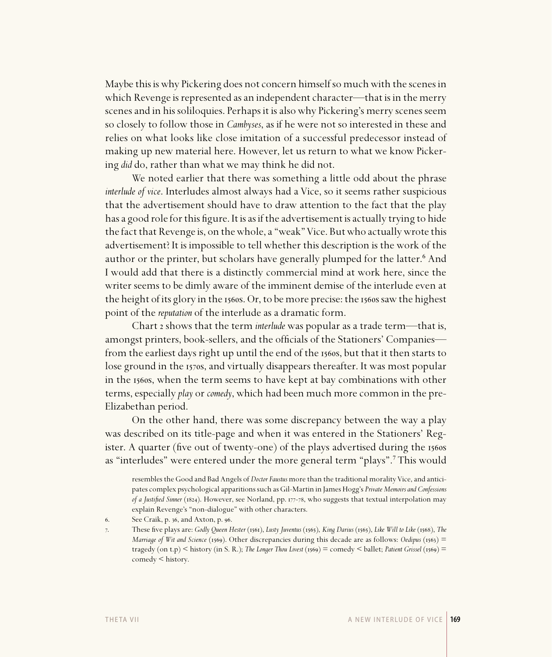Maybe this is why Pickering does not concern himself so much with the scenes in which Revenge is represented as an independent character—that is in the merry scenes and in his soliloquies. Perhaps it is also why Pickering's merry scenes seem so closely to follow those in *Cambyses*, as if he were not so interested in these and relies on what looks like close imitation of a successful predecessor instead of making up new material here. However, let us return to what we know Pickering *did* do, rather than what we may think he did not.

We noted earlier that there was something a little odd about the phrase *interlude of vice*. Interludes almost always had a Vice, so it seems rather suspicious that the advertisement should have to draw attention to the fact that the play has a good role for this figure. It is as if the advertisement is actually trying to hide the fact that Revenge is, on the whole, a "weak" Vice. But who actually wrote this advertisement? It is impossible to tell whether this description is the work of the author or the printer, but scholars have generally plumped for the latter.<sup>6</sup> And I would add that there is a distinctly commercial mind at work here, since the writer seems to be dimly aware of the imminent demise of the interlude even at the height of its glory in the 1560s. Or, to be more precise: the 1560s saw the highest point of the *reputation* of the interlude as a dramatic form.

Chart *2* shows that the term *interlude* was popular as a trade term—that is, amongst printers, book-sellers, and the officials of the Stationers' Companies from the earliest days right up until the end of the 1560s, but that it then starts to lose ground in the 1570s, and virtually disappears thereafter. It was most popular in the 1560s, when the term seems to have kept at bay combinations with other terms, especially *play* or *comedy*, which had been much more common in the pre-Elizabethan period.

On the other hand, there was some discrepancy between the way a play was described on its title-page and when it was entered in the Stationers' Register. A quarter (five out of twenty-one) of the plays advertised during the 1560s as "interludes" were entered under the more general term "plays".<sup>7</sup> This would

resembles the Good and Bad Angels of *Doctor Faustus* more than the traditional morality Vice, and anticipates complex psychological apparitions such as Gil-Martin in James Hogg's *Private Memoirs and Confessions of a Justified Sinner* (1824). However, see Norland, pp. 177-78, who suggests that textual interpolation may explain Revenge's "non-dialogue" with other characters.

<sup>6.</sup> See Craik, p. 36, and Axton, p. 96.

These five plays are: *Godly Queen Hester* (1561), *Lusty Juventus* (1565), *King Darius* (1565), *Like Will to Like* (1568), *The Marriage of Wit and Science* (1569). Other discrepancies during this decade are as follows: *Oedipus* (1563) = tragedy (on t.p) < history (in S. R.); *The Longer Thou Livest* (1569) = comedy < ballet; *Patient Grissel* (1569) = comedy < history.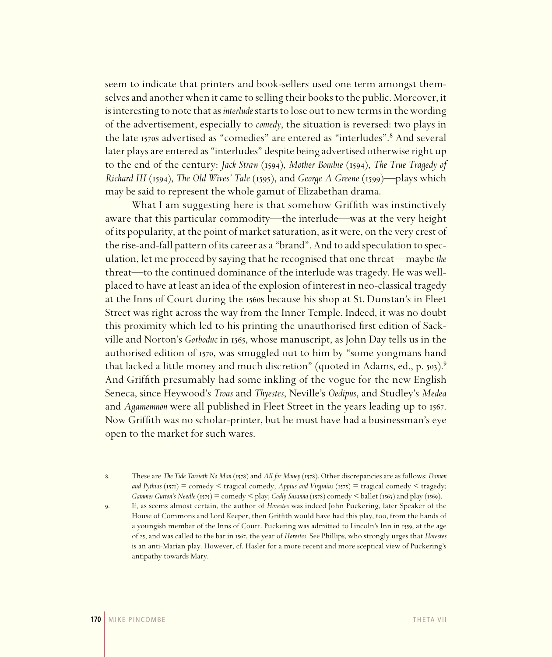seem to indicate that printers and book-sellers used one term amongst themselves and another when it came to selling their books to the public. Moreover, it is interesting to note that as *interlude* starts to lose out to new terms in the wording of the advertisement, especially to *comedy*, the situation is reversed: two plays in the late 1570s advertised as "comedies" are entered as "interludes".<sup>8</sup> And several later plays are entered as "interludes" despite being advertised otherwise right up to the end of the century: *Jack Straw* (1594), *Mother Bombie* (1594), *The True Tragedy of Richard III* (1594), *The Old Wives' Tale* (1595), and *George A Greene* (1599)—plays which may be said to represent the whole gamut of Elizabethan drama.

What I am suggesting here is that somehow Griffith was instinctively aware that this particular commodity—the interlude—was at the very height of its popularity, at the point of market saturation, as it were, on the very crest of the rise-and-fall pattern of its career as a "brand". And to add speculation to speculation, let me proceed by saying that he recognised that one threat—maybe *the* threat—to the continued dominance of the interlude was tragedy. He was wellplaced to have at least an idea of the explosion of interest in neo-classical tragedy at the Inns of Court during the 1560s because his shop at St. Dunstan's in Fleet Street was right across the way from the Inner Temple. Indeed, it was no doubt this proximity which led to his printing the unauthorised first edition of Sackville and Norton's *Gorboduc* in 1565, whose manuscript, as John Day tells us in the authorised edition of 1570, was smuggled out to him by "some yongmans hand that lacked a little money and much discretion" (quoted in Adams, ed., p.  $503$ ).<sup>9</sup> And Griffith presumably had some inkling of the vogue for the new English Seneca, since Heywood's *Troas* and *Thyestes*, Neville's *Oedipus*, and Studley's *Medea* and *Agamemnon* were all published in Fleet Street in the years leading up to 1567. Now Griffith was no scholar-printer, but he must have had a businessman's eye open to the market for such wares.

8. These are *The Tide Tarrieth No Man* (1578) and *All for Money* (1578). Other discrepancies are as follows: *Damon and Pythias* (1571) = comedy < tragical comedy; *Appius and Virginius* (1575) = tragical comedy < tragedy; *Gammer Gurton's Needle* (1575) = comedy < play; *Godly Susanna* (1578) comedy < ballet (1563) and play (1569).

. If, as seems almost certain, the author of *Horestes* was indeed John Puckering, later Speaker of the House of Commons and Lord Keeper, then Griffith would have had this play, too, from the hands of a youngish member of the Inns of Court. Puckering was admitted to Lincoln's Inn in 1559, at the age of 25, and was called to the bar in 1567, the year of *Horestes*. See Phillips, who strongly urges that *Horestes* is an anti-Marian play. However, cf. Hasler for a more recent and more sceptical view of Puckering's antipathy towards Mary.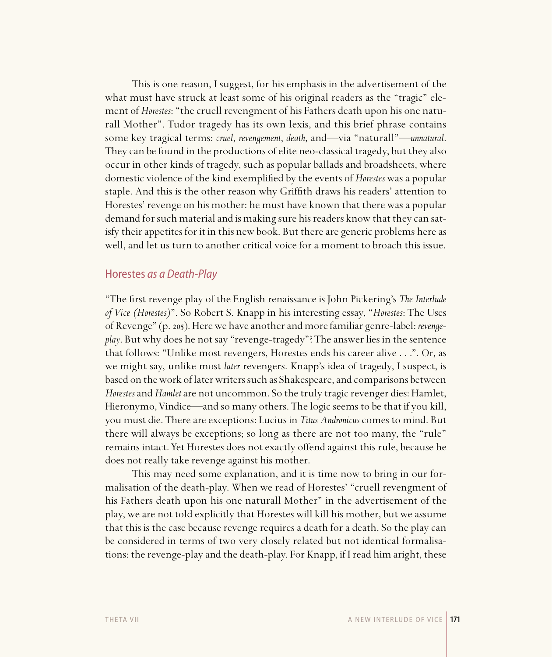This is one reason, I suggest, for his emphasis in the advertisement of the what must have struck at least some of his original readers as the "tragic" element of *Horestes*: "the cruell revengment of his Fathers death upon his one naturall Mother". Tudor tragedy has its own lexis, and this brief phrase contains some key tragical terms: *cruel*, *revengement*, *death*, and—via "naturall"—*unnatural*. They can be found in the productions of elite neo-classical tragedy, but they also occur in other kinds of tragedy, such as popular ballads and broadsheets, where domestic violence of the kind exemplified by the events of *Horestes* was a popular staple. And this is the other reason why Griffith draws his readers' attention to Horestes' revenge on his mother: he must have known that there was a popular demand for such material and is making sure his readers know that they can satisfy their appetites for it in this new book. But there are generic problems here as well, and let us turn to another critical voice for a moment to broach this issue.

#### Horestes as a Death-Play

"The first revenge play of the English renaissance is John Pickering's *The Interlude of Vice (Horestes)*". So Robert S. Knapp in his interesting essay, "*Horestes*: The Uses of Revenge" (p. 205). Here we have another and more familiar genre-label: *revengeplay*. But why does he not say "revenge-tragedy"? The answer lies in the sentence that follows: "Unlike most revengers, Horestes ends his career alive . . .". Or, as we might say, unlike most *later* revengers. Knapp's idea of tragedy, I suspect, is based on the work of later writers such as Shakespeare, and comparisons between *Horestes* and *Hamlet* are not uncommon. So the truly tragic revenger dies: Hamlet, Hieronymo, Vindice—and so many others. The logic seems to be that if you kill, you must die. There are exceptions: Lucius in *Titus Andronicus* comes to mind. But there will always be exceptions; so long as there are not too many, the "rule" remains intact. Yet Horestes does not exactly offend against this rule, because he does not really take revenge against his mother.

This may need some explanation, and it is time now to bring in our formalisation of the death-play. When we read of Horestes' "cruell revengment of his Fathers death upon his one naturall Mother" in the advertisement of the play, we are not told explicitly that Horestes will kill his mother, but we assume that this is the case because revenge requires a death for a death. So the play can be considered in terms of two very closely related but not identical formalisations: the revenge-play and the death-play. For Knapp, if I read him aright, these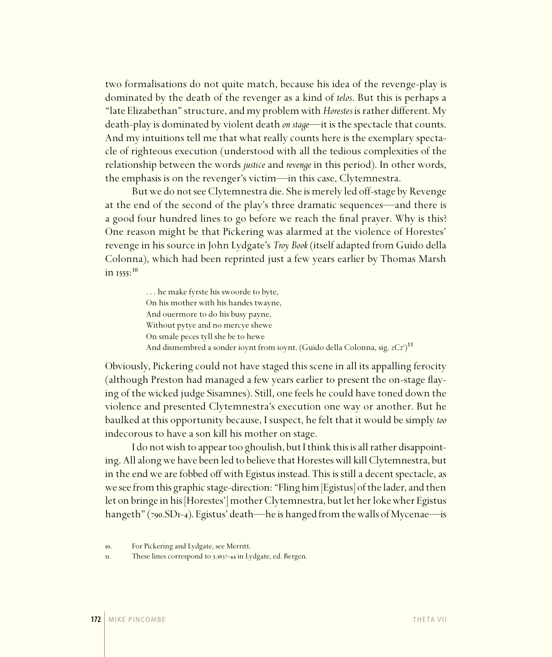two formalisations do not quite match, because his idea of the revenge-play is dominated by the death of the revenger as a kind of *telos*. But this is perhaps a "late Elizabethan" structure, and my problem with *Horestes* is rather different. My death-play is dominated by violent death *on stage*—it is the spectacle that counts. And my intuitions tell me that what really counts here is the exemplary spectacle of righteous execution (understood with all the tedious complexities of the relationship between the words *justice* and *revenge* in this period). In other words, the emphasis is on the revenger's victim—in this case, Clytemnestra.

But we do not see Clytemnestra die. She is merely led off-stage by Revenge at the end of the second of the play's three dramatic sequences—and there is a good four hundred lines to go before we reach the final prayer. Why is this? One reason might be that Pickering was alarmed at the violence of Horestes' revenge in his source in John Lydgate's *Troy Book* (itself adapted from Guido della Colonna), which had been reprinted just a few years earlier by Thomas Marsh in  $1555:^{10}$ 

> . . . he make fyrste his swoorde to byte, On his mother with his handes twayne, And ouermore to do his busy payne, Without pytye and no mercye shewe On smale peces tyll she be to hewe And dismembred a sonder ioynt from ioynt. (Guido della Colonna, sig.  $2Cz$ <sup>3</sup>)<sup>11</sup>

Obviously, Pickering could not have staged this scene in all its appalling ferocity (although Preston had managed a few years earlier to present the on-stage flaying of the wicked judge Sisamnes). Still, one feels he could have toned down the violence and presented Clytemnestra's execution one way or another. But he baulked at this opportunity because, I suspect, he felt that it would be simply *too* indecorous to have a son kill his mother on stage.

I do not wish to appear too ghoulish, but I think this is all rather disappointing. All along we have been led to believe that Horestes will kill Clytemnestra, but in the end we are fobbed off with Egistus instead. This is still a decent spectacle, as we see from this graphic stage-direction: "Fling him [Egistus] of the lader, and then let on bringe in his [Horestes'] mother Clytemnestra, but let her loke wher Egistus hangeth" (790.SD1-4). Egistus' death—he is hanged from the walls of Mycenae—is

<sup>.</sup> For Pickering and Lydgate, see Merritt.

II. These lines correspond to 5.1637-44 in Lydgate, ed. Bergen.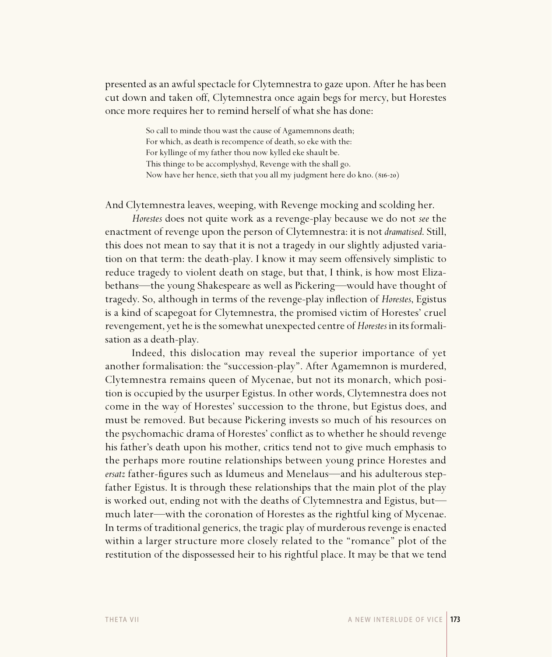presented as an awful spectacle for Clytemnestra to gaze upon. After he has been cut down and taken off, Clytemnestra once again begs for mercy, but Horestes once more requires her to remind herself of what she has done:

> So call to minde thou wast the cause of Agamemnons death; For which, as death is recompence of death, so eke with the: For kyllinge of my father thou now kylled eke shault be. This thinge to be accomplyshyd, Revenge with the shall go. Now have her hence, sieth that you all my judgment here do kno. (816-20)

And Clytemnestra leaves, weeping, with Revenge mocking and scolding her.

*Horestes* does not quite work as a revenge-play because we do not *see* the enactment of revenge upon the person of Clytemnestra: it is not *dramatised*. Still, this does not mean to say that it is not a tragedy in our slightly adjusted variation on that term: the death-play. I know it may seem offensively simplistic to reduce tragedy to violent death on stage, but that, I think, is how most Elizabethans—the young Shakespeare as well as Pickering—would have thought of tragedy. So, although in terms of the revenge-play infl ection of *Horestes*, Egistus is a kind of scapegoat for Clytemnestra, the promised victim of Horestes' cruel revengement, yet he is the somewhat unexpected centre of *Horestes* in its formalisation as a death-play.

Indeed, this dislocation may reveal the superior importance of yet another formalisation: the "succession-play". After Agamemnon is murdered, Clytemnestra remains queen of Mycenae, but not its monarch, which position is occupied by the usurper Egistus. In other words, Clytemnestra does not come in the way of Horestes' succession to the throne, but Egistus does, and must be removed. But because Pickering invests so much of his resources on the psychomachic drama of Horestes' conflict as to whether he should revenge his father's death upon his mother, critics tend not to give much emphasis to the perhaps more routine relationships between young prince Horestes and *ersatz* father-figures such as Idumeus and Menelaus—and his adulterous stepfather Egistus. It is through these relationships that the main plot of the play is worked out, ending not with the deaths of Clytemnestra and Egistus, but much later—with the coronation of Horestes as the rightful king of Mycenae. In terms of traditional generics, the tragic play of murderous revenge is enacted within a larger structure more closely related to the "romance" plot of the restitution of the dispossessed heir to his rightful place. It may be that we tend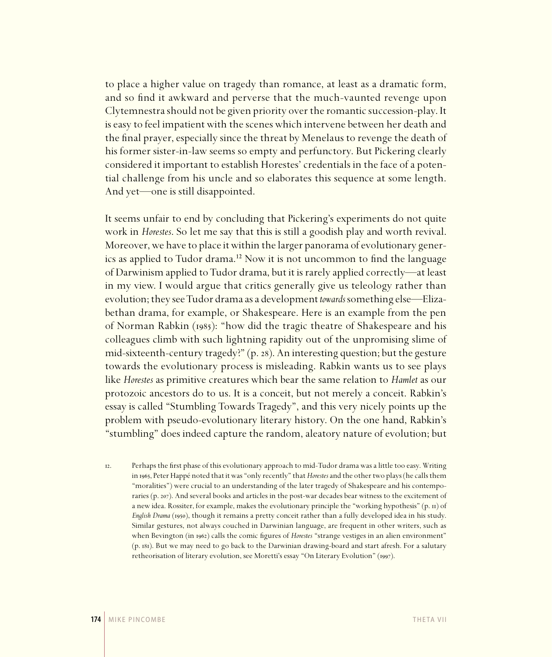to place a higher value on tragedy than romance, at least as a dramatic form, and so find it awkward and perverse that the much-vaunted revenge upon Clytemnestra should not be given priority over the romantic succession-play. It is easy to feel impatient with the scenes which intervene between her death and the final prayer, especially since the threat by Menelaus to revenge the death of his former sister-in-law seems so empty and perfunctory. But Pickering clearly considered it important to establish Horestes' credentials in the face of a potential challenge from his uncle and so elaborates this sequence at some length. And yet—one is still disappointed.

It seems unfair to end by concluding that Pickering's experiments do not quite work in *Horestes*. So let me say that this is still a goodish play and worth revival. Moreover, we have to place it within the larger panorama of evolutionary generics as applied to Tudor drama.<sup>12</sup> Now it is not uncommon to find the language of Darwinism applied to Tudor drama, but it is rarely applied correctly—at least in my view. I would argue that critics generally give us teleology rather than evolution; they see Tudor drama as a development *towards* something else—Elizabethan drama, for example, or Shakespeare. Here is an example from the pen of Norman Rabkin (1985): "how did the tragic theatre of Shakespeare and his colleagues climb with such lightning rapidity out of the unpromising slime of mid-sixteenth-century tragedy?" (p. 28). An interesting question; but the gesture towards the evolutionary process is misleading. Rabkin wants us to see plays like *Horestes* as primitive creatures which bear the same relation to *Hamlet* as our protozoic ancestors do to us. It is a conceit, but not merely a conceit. Rabkin's essay is called "Stumbling Towards Tragedy", and this very nicely points up the problem with pseudo-evolutionary literary history. On the one hand, Rabkin's "stumbling" does indeed capture the random, aleatory nature of evolution; but

. Perhaps the first phase of this evolutionary approach to mid-Tudor drama was a little too easy. Writing in 1965, Peter Happé noted that it was "only recently" that *Horestes* and the other two plays (he calls them "moralities") were crucial to an understanding of the later tragedy of Shakespeare and his contemporaries (p. 207). And several books and articles in the post-war decades bear witness to the excitement of a new idea. Rossiter, for example, makes the evolutionary principle the "working hypothesis" (p. 11) of *English Drama* (1950), though it remains a pretty conceit rather than a fully developed idea in his study. Similar gestures, not always couched in Darwinian language, are frequent in other writers, such as when Bevington (in 1962) calls the comic figures of *Horestes* "strange vestiges in an alien environment" (p. 181). But we may need to go back to the Darwinian drawing-board and start afresh. For a salutary retheorisation of literary evolution, see Moretti's essay "On Literary Evolution" (1997).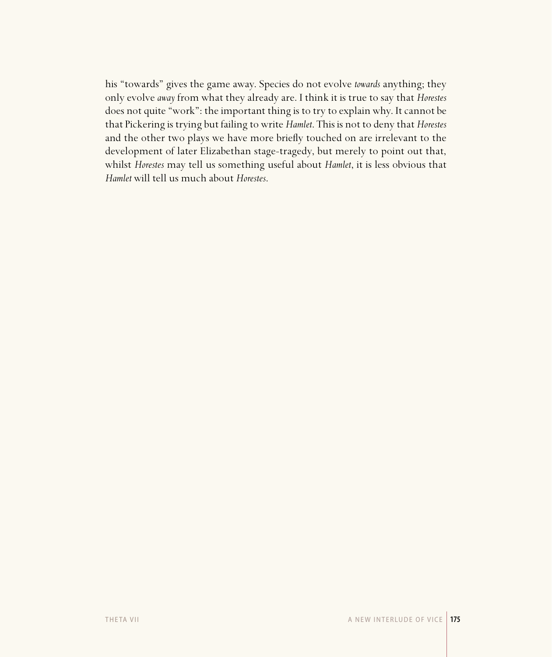his "towards" gives the game away. Species do not evolve *towards* anything; they only evolve *away* from what they already are. I think it is true to say that *Horestes* does not quite "work": the important thing is to try to explain why. It cannot be that Pickering is trying but failing to write *Hamlet*. This is not to deny that *Horestes* and the other two plays we have more briefly touched on are irrelevant to the development of later Elizabethan stage-tragedy, but merely to point out that, whilst *Horestes* may tell us something useful about *Hamlet*, it is less obvious that *Hamlet* will tell us much about *Horestes*.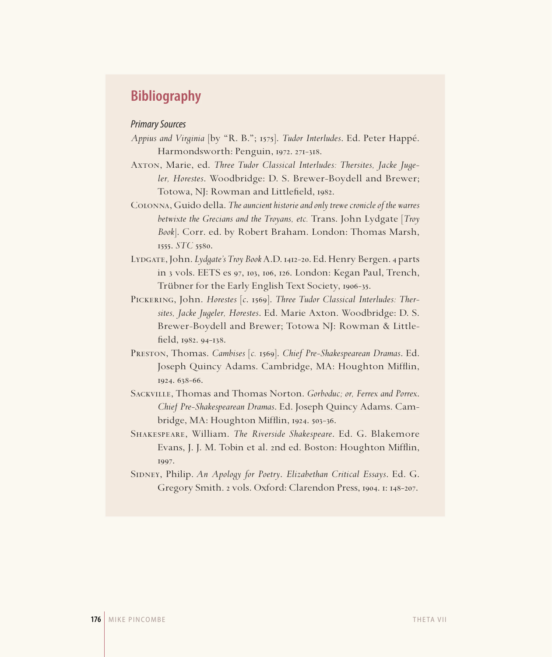### **Bibliography**

#### Primary Sources

- *Appius and Virginia* [by "R. B."; ]. *Tudor Interludes*. Ed. Peter Happé. Harmondsworth: Penguin, 1972. 271-318.
- Axton, Marie, ed. Three Tudor Classical Interludes: Thersites, Jacke Juge*ler, Horestes*. Woodbridge: D. S. Brewer-Boydell and Brewer; Totowa, NJ: Rowman and Littlefield, 1982.
- Colonna, Guido della. *The auncient historie and only trewe cronicle of the warres betwixte the Grecians and the Troyans, etc.* Trans. John Lydgate [*Troy Book*]. Corr. ed. by Robert Braham. London: Thomas Marsh, 1555. *STC* 5580.
- LYDGATE, John. Lydgate's Troy Book A.D. 1412-20. Ed. Henry Bergen. 4 parts in 3 vols. EETS es 97, 103, 106, 126. London: Kegan Paul, Trench, Trübner for the Early English Text Society, 1906-35.
- PICKERING, John. *Horestes* [c. 1569]. *Three Tudor Classical Interludes: Thersites, Jacke Jugeler, Horestes*. Ed. Marie Axton. Woodbridge: D. S. Brewer-Boydell and Brewer; Totowa NJ: Rowman & Littlefield, 1982. 94-138.
- PRESTON, Thomas. *Cambises* [c. 1569]. *Chief Pre-Shakespearean Dramas*. Ed. Joseph Quincy Adams. Cambridge, MA: Houghton Mifflin, 1924. 638-66.
- Sackville, Thomas and Thomas Norton. *Gorboduc; or, Ferrex and Porrex*. *Chief Pre-Shakespearean Dramas*. Ed. Joseph Quincy Adams. Cambridge, MA: Houghton Mifflin,  $1924.503-36$ .
- Shakespeare, William. *The Riverside Shakespeare*. Ed. G. Blakemore Evans, J. J. M. Tobin et al. 2nd ed. Boston: Houghton Mifflin, 1997.
- SIDNEY, Philip. *An Apology for Poetry*. *Elizabethan Critical Essays*. Ed. G. Gregory Smith. 2 vols. Oxford: Clarendon Press, 1904. 1: 148-207.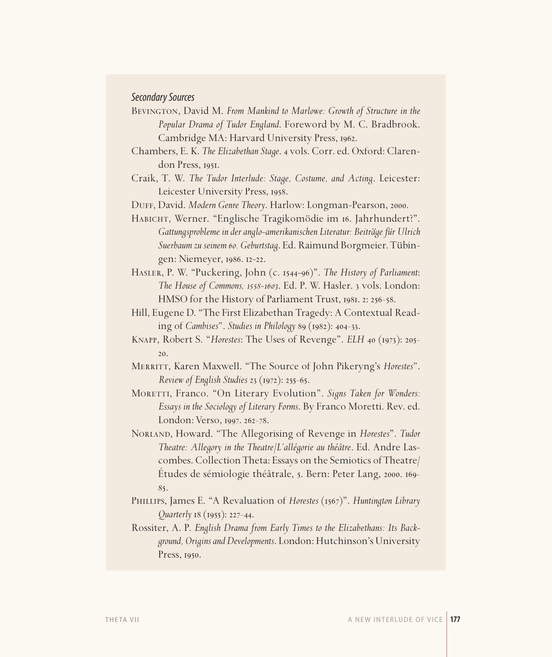#### Secondary Sources

BEVINGTON, David M. From Mankind to Marlowe: Growth of Structure in the *Popular Drama of Tudor England*. Foreword by M. C. Bradbrook. Cambridge MA: Harvard University Press, 1962.

- Chambers, E. K. *The Elizabethan Stage*. 4 vols. Corr. ed. Oxford: Clarendon Press, 1951.
- Craik, T. W. *The Tudor Interlude: Stage, Costume, and Acting*. Leicester: Leicester University Press, 1958.

DUFF, David. *Modern Genre Theory*. Harlow: Longman-Pearson, 2000.

HABICHT, Werner. "Englische Tragikomödie im 16. Jahrhundert?". *Gattungsprobleme in der anglo-amerikanischen Literatur: Beiträge für Ulrich Suerbaum zu seinem 60. Geburtstag*. Ed. Raimund Borgmeier. Tübingen: Niemeyer, 1986. 12-22.

- HASLER, P. W. "Puckering, John (c. 1544-96)". *The History of Parliament*: *The House of Commons, 1558-1603.* Ed. P. W. Hasler. 3 vols. London: HMSO for the History of Parliament Trust,  $1981.2: 256-58$ .
- Hill, Eugene D. "The First Elizabethan Tragedy: A Contextual Reading of *Cambises*". *Studies in Philology* 89 (1982): 404-33.
- KNAPP, Robert S. "*Horestes*: The Uses of Revenge". *ELH* 40 (1973): 205-20.
- Merritt, Karen Maxwell. "The Source of John Pikeryng's *Horestes*". *Review of English Studies* 23 (1972): 255-65.
- MORETTI, Franco. "On Literary Evolution". *Signs Taken for Wonders: Essays in the Sociology of Literary Forms*. By Franco Moretti. Rev. ed. London: Verso, 1997. 262-78.

Norland, Howard. "The Allegorising of Revenge in *Horestes*". *Tudor Theatre: Allegory in the Theatre/L'allégorie au théâtre*. Ed. Andre Lascombes. Collection Theta: Essays on the Semiotics of Theatre/ Etudes de sémiologie théâtrale, 5. Bern: Peter Lang, 2000. 169-85.

PHILLIPS, James E. "A Revaluation of *Horestes* (1567)". *Huntington Library Quarterly* 18 (1955): 227-44.

Rossiter, A. P. *English Drama from Early Times to the Elizabethans: Its Background, Origins and Developments*. London: Hutchinson's University Press, 1950.